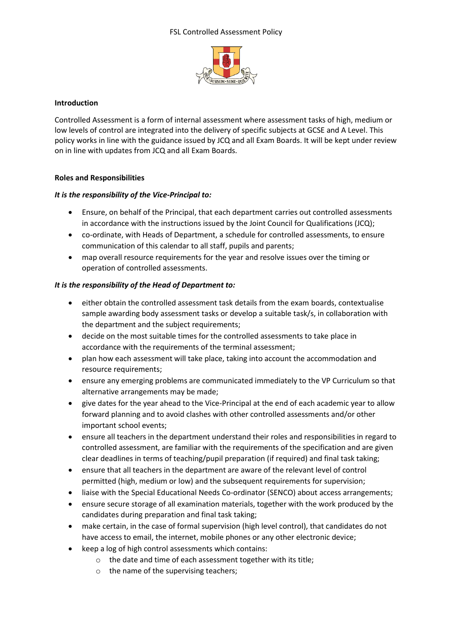#### FSL Controlled Assessment Policy



## **Introduction**

Controlled Assessment is a form of internal assessment where assessment tasks of high, medium or low levels of control are integrated into the delivery of specific subjects at GCSE and A Level. This policy works in line with the guidance issued by JCQ and all Exam Boards. It will be kept under review on in line with updates from JCQ and all Exam Boards.

## **Roles and Responsibilities**

## *It is the responsibility of the Vice-Principal to:*

- Ensure, on behalf of the Principal, that each department carries out controlled assessments in accordance with the instructions issued by the Joint Council for Qualifications (JCQ);
- co-ordinate, with Heads of Department, a schedule for controlled assessments, to ensure communication of this calendar to all staff, pupils and parents;
- map overall resource requirements for the year and resolve issues over the timing or operation of controlled assessments.

## *It is the responsibility of the Head of Department to:*

- either obtain the controlled assessment task details from the exam boards, contextualise sample awarding body assessment tasks or develop a suitable task/s, in collaboration with the department and the subject requirements;
- decide on the most suitable times for the controlled assessments to take place in accordance with the requirements of the terminal assessment;
- plan how each assessment will take place, taking into account the accommodation and resource requirements;
- ensure any emerging problems are communicated immediately to the VP Curriculum so that alternative arrangements may be made;
- give dates for the year ahead to the Vice-Principal at the end of each academic year to allow forward planning and to avoid clashes with other controlled assessments and/or other important school events;
- ensure all teachers in the department understand their roles and responsibilities in regard to controlled assessment, are familiar with the requirements of the specification and are given clear deadlines in terms of teaching/pupil preparation (if required) and final task taking;
- ensure that all teachers in the department are aware of the relevant level of control permitted (high, medium or low) and the subsequent requirements for supervision;
- liaise with the Special Educational Needs Co-ordinator (SENCO) about access arrangements;
- ensure secure storage of all examination materials, together with the work produced by the candidates during preparation and final task taking;
- make certain, in the case of formal supervision (high level control), that candidates do not have access to email, the internet, mobile phones or any other electronic device;
- keep a log of high control assessments which contains:
	- o the date and time of each assessment together with its title;
	- o the name of the supervising teachers;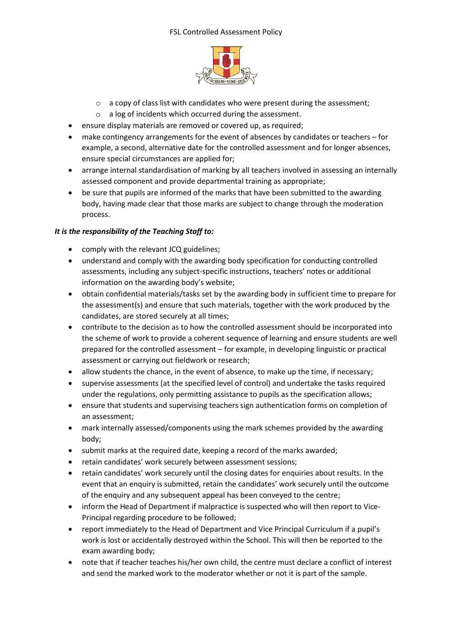## FSL Controlled Assessment Policy



- $\circ$  a copy of class list with candidates who were present during the assessment;
- o a log of incidents which occurred during the assessment.
- ensure display materials are removed or covered up, as required;
- make contingency arrangements for the event of absences by candidates or teachers for example, a second, alternative date for the controlled assessment and for longer absences, ensure special circumstances are applied for;
- arrange internal standardisation of marking by all teachers involved in assessing an internally assessed component and provide departmental training as appropriate;
- be sure that pupils are informed of the marks that have been submitted to the awarding body, having made clear that those marks are subject to change through the moderation process.

## *It is the responsibility of the Teaching Staff to:*

- comply with the relevant JCQ guidelines;
- understand and comply with the awarding body specification for conducting controlled assessments, including any subject-specific instructions, teachers' notes or additional information on the awarding body's website;
- obtain confidential materials/tasks set by the awarding body in sufficient time to prepare for the assessment(s) and ensure that such materials, together with the work produced by the candidates, are stored securely at all times;
- contribute to the decision as to how the controlled assessment should be incorporated into the scheme of work to provide a coherent sequence of learning and ensure students are well prepared for the controlled assessment – for example, in developing linguistic or practical assessment or carrying out fieldwork or research;
- allow students the chance, in the event of absence, to make up the time, if necessary;
- supervise assessments (at the specified level of control) and undertake the tasks required under the regulations, only permitting assistance to pupils as the specification allows;
- ensure that students and supervising teachers sign authentication forms on completion of an assessment;
- mark internally assessed/components using the mark schemes provided by the awarding body;
- submit marks at the required date, keeping a record of the marks awarded;
- retain candidates' work securely between assessment sessions;
- retain candidates' work securely until the closing dates for enquiries about results. In the event that an enquiry is submitted, retain the candidates' work securely until the outcome of the enquiry and any subsequent appeal has been conveyed to the centre;
- inform the Head of Department if malpractice is suspected who will then report to Vice-Principal regarding procedure to be followed;
- report immediately to the Head of Department and Vice Principal Curriculum if a pupil's work is lost or accidentally destroyed within the School. This will then be reported to the exam awarding body;
- note that if teacher teaches his/her own child, the centre must declare a conflict of interest and send the marked work to the moderator whether or not it is part of the sample.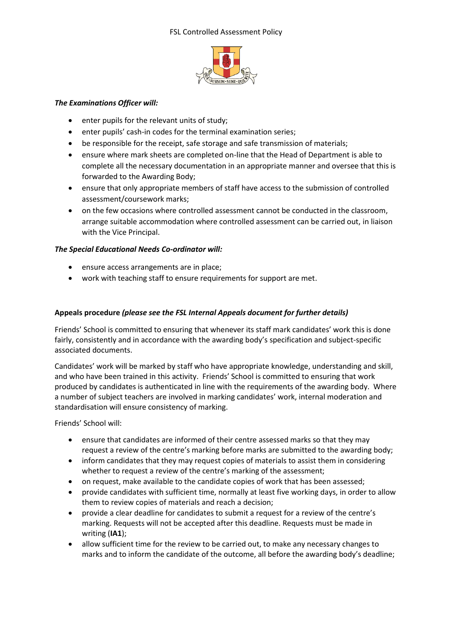

## *The Examinations Officer will:*

- enter pupils for the relevant units of study;
- enter pupils' cash-in codes for the terminal examination series;
- be responsible for the receipt, safe storage and safe transmission of materials;
- ensure where mark sheets are completed on-line that the Head of Department is able to complete all the necessary documentation in an appropriate manner and oversee that this is forwarded to the Awarding Body;
- ensure that only appropriate members of staff have access to the submission of controlled assessment/coursework marks;
- on the few occasions where controlled assessment cannot be conducted in the classroom, arrange suitable accommodation where controlled assessment can be carried out, in liaison with the Vice Principal.

# *The Special Educational Needs Co-ordinator will:*

- ensure access arrangements are in place;
- work with teaching staff to ensure requirements for support are met.

## **Appeals procedure** *(please see the FSL Internal Appeals document for further details)*

Friends' School is committed to ensuring that whenever its staff mark candidates' work this is done fairly, consistently and in accordance with the awarding body's specification and subject-specific associated documents.

Candidates' work will be marked by staff who have appropriate knowledge, understanding and skill, and who have been trained in this activity. Friends' School is committed to ensuring that work produced by candidates is authenticated in line with the requirements of the awarding body. Where a number of subject teachers are involved in marking candidates' work, internal moderation and standardisation will ensure consistency of marking.

Friends' School will:

- ensure that candidates are informed of their centre assessed marks so that they may request a review of the centre's marking before marks are submitted to the awarding body;
- inform candidates that they may request copies of materials to assist them in considering whether to request a review of the centre's marking of the assessment;
- on request, make available to the candidate copies of work that has been assessed;
- provide candidates with sufficient time, normally at least five working days, in order to allow them to review copies of materials and reach a decision;
- provide a clear deadline for candidates to submit a request for a review of the centre's marking. Requests will not be accepted after this deadline. Requests must be made in writing (**IA1**);
- allow sufficient time for the review to be carried out, to make any necessary changes to marks and to inform the candidate of the outcome, all before the awarding body's deadline;